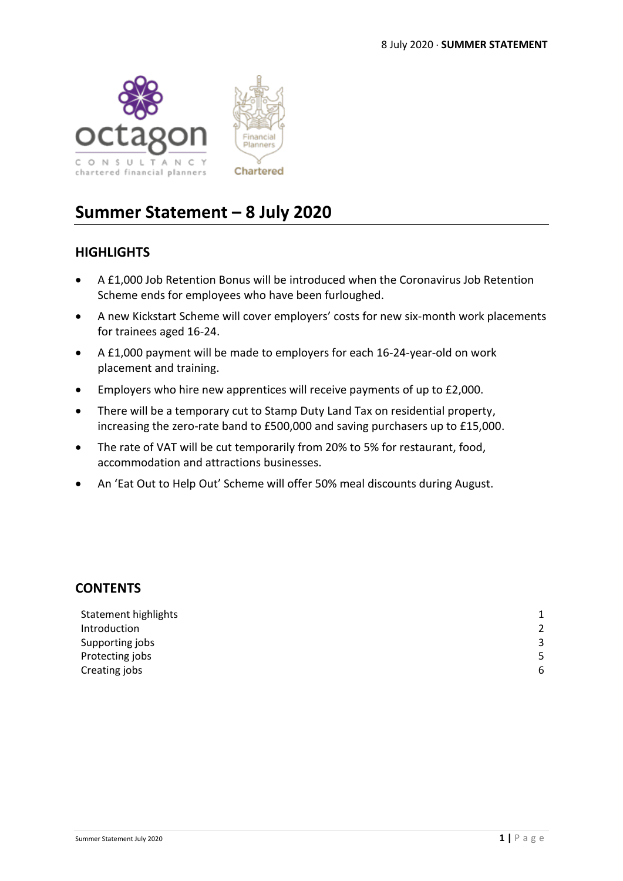



# **Summer Statement – 8 July 2020**

# **HIGHLIGHTS**

- A £1,000 Job Retention Bonus will be introduced when the Coronavirus Job Retention Scheme ends for employees who have been furloughed.
- A new Kickstart Scheme will cover employers' costs for new six-month work placements for trainees aged 16-24.
- A £1,000 payment will be made to employers for each 16-24-year-old on work placement and training.
- Employers who hire new apprentices will receive payments of up to £2,000.
- There will be a temporary cut to Stamp Duty Land Tax on residential property, increasing the zero-rate band to £500,000 and saving purchasers up to £15,000.
- The rate of VAT will be cut temporarily from 20% to 5% for restaurant, food, accommodation and attractions businesses.
- An 'Eat Out to Help Out' Scheme will offer 50% meal discounts during August.

## **CONTENTS**

| Statement highlights |                |
|----------------------|----------------|
| Introduction         | $\overline{2}$ |
| Supporting jobs      | 3              |
| Protecting jobs      | 5              |
| Creating jobs        | 6              |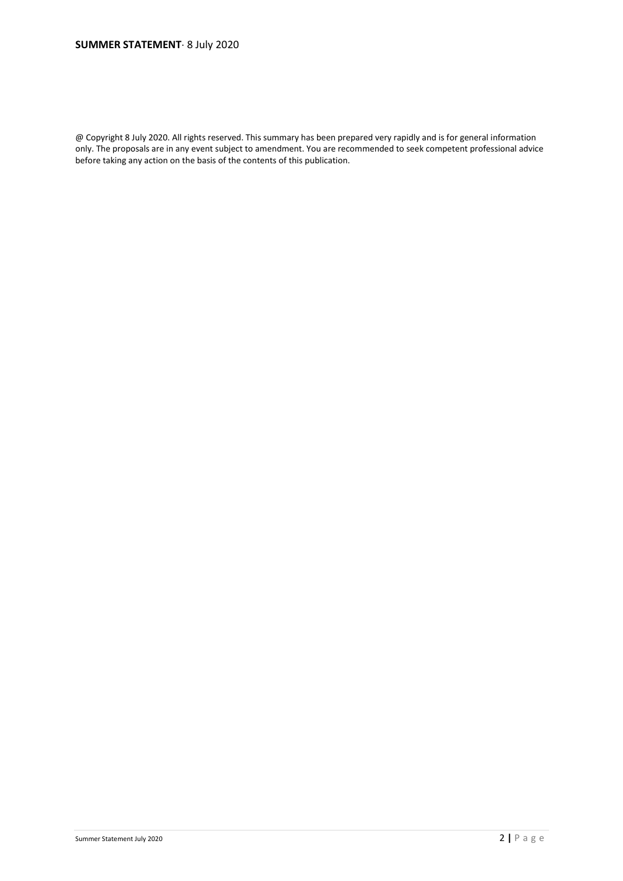@ Copyright 8 July 2020. All rights reserved. This summary has been prepared very rapidly and is for general information only. The proposals are in any event subject to amendment. You are recommended to seek competent professional advice before taking any action on the basis of the contents of this publication.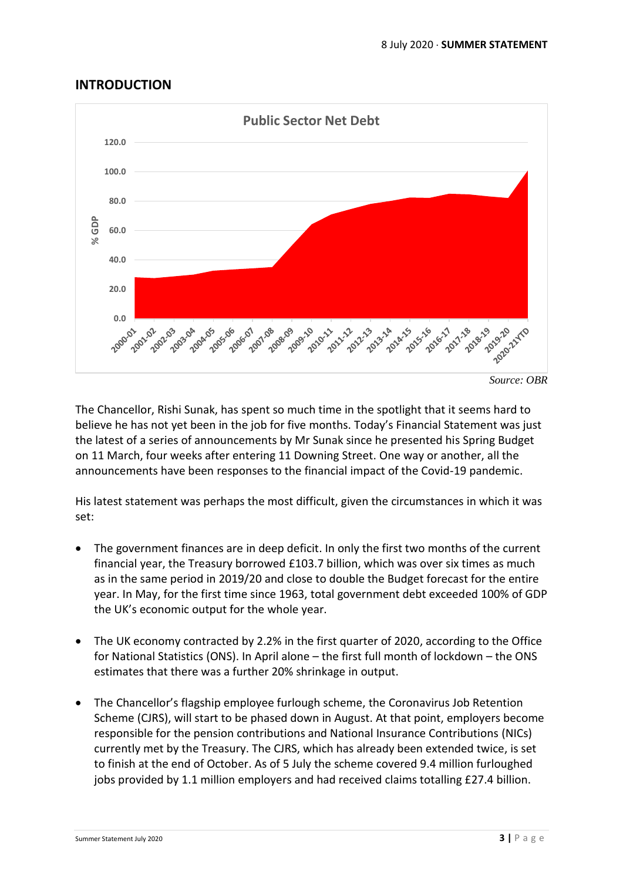# **INTRODUCTION**



The Chancellor, Rishi Sunak, has spent so much time in the spotlight that it seems hard to believe he has not yet been in the job for five months. Today's Financial Statement was just the latest of a series of announcements by Mr Sunak since he presented his Spring Budget on 11 March, four weeks after entering 11 Downing Street. One way or another, all the announcements have been responses to the financial impact of the Covid-19 pandemic.

His latest statement was perhaps the most difficult, given the circumstances in which it was set:

- The government finances are in deep deficit. In only the first two months of the current financial year, the Treasury borrowed £103.7 billion, which was over six times as much as in the same period in 2019/20 and close to double the Budget forecast for the entire year. In May, for the first time since 1963, total government debt exceeded 100% of GDP the UK's economic output for the whole year.
- The UK economy contracted by 2.2% in the first quarter of 2020, according to the Office for National Statistics (ONS). In April alone – the first full month of lockdown – the ONS estimates that there was a further 20% shrinkage in output.
- The Chancellor's flagship employee furlough scheme, the Coronavirus Job Retention Scheme (CJRS), will start to be phased down in August. At that point, employers become responsible for the pension contributions and National Insurance Contributions (NICs) currently met by the Treasury. The CJRS, which has already been extended twice, is set to finish at the end of October. As of 5 July the scheme covered 9.4 million furloughed jobs provided by 1.1 million employers and had received claims totalling £27.4 billion.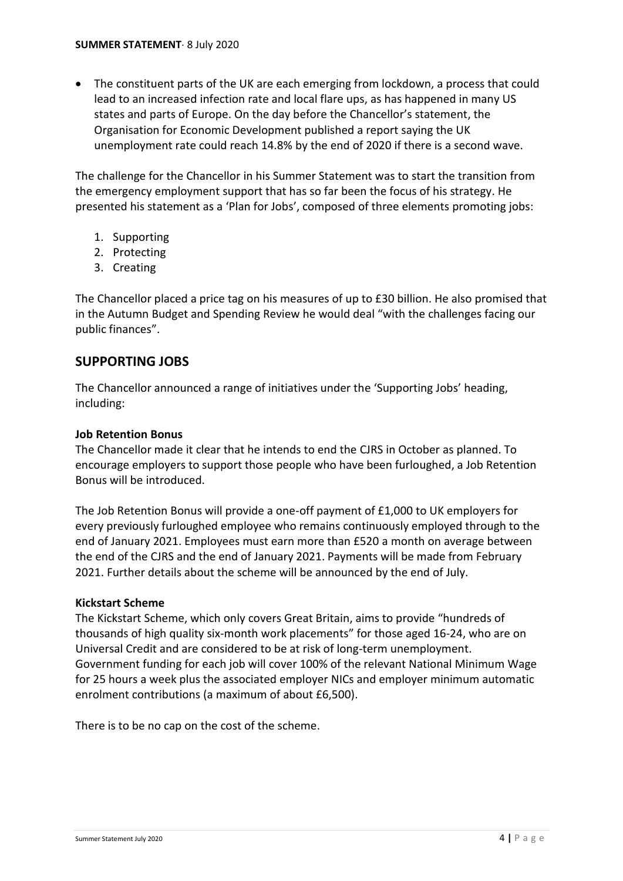• The constituent parts of the UK are each emerging from lockdown, a process that could lead to an increased infection rate and local flare ups, as has happened in many US states and parts of Europe. On the day before the Chancellor's statement, the Organisation for Economic Development published a report saying the UK unemployment rate could reach 14.8% by the end of 2020 if there is a second wave.

The challenge for the Chancellor in his Summer Statement was to start the transition from the emergency employment support that has so far been the focus of his strategy. He presented his statement as a 'Plan for Jobs', composed of three elements promoting jobs:

- 1. Supporting
- 2. Protecting
- 3. Creating

The Chancellor placed a price tag on his measures of up to £30 billion. He also promised that in the Autumn Budget and Spending Review he would deal "with the challenges facing our public finances".

# **SUPPORTING JOBS**

The Chancellor announced a range of initiatives under the 'Supporting Jobs' heading, including:

## **Job Retention Bonus**

The Chancellor made it clear that he intends to end the CJRS in October as planned. To encourage employers to support those people who have been furloughed, a Job Retention Bonus will be introduced.

The Job Retention Bonus will provide a one-off payment of £1,000 to UK employers for every previously furloughed employee who remains continuously employed through to the end of January 2021. Employees must earn more than £520 a month on average between the end of the CJRS and the end of January 2021. Payments will be made from February 2021. Further details about the scheme will be announced by the end of July.

#### **Kickstart Scheme**

The Kickstart Scheme, which only covers Great Britain, aims to provide "hundreds of thousands of high quality six-month work placements" for those aged 16-24, who are on Universal Credit and are considered to be at risk of long-term unemployment. Government funding for each job will cover 100% of the relevant National Minimum Wage for 25 hours a week plus the associated employer NICs and employer minimum automatic enrolment contributions (a maximum of about £6,500).

There is to be no cap on the cost of the scheme.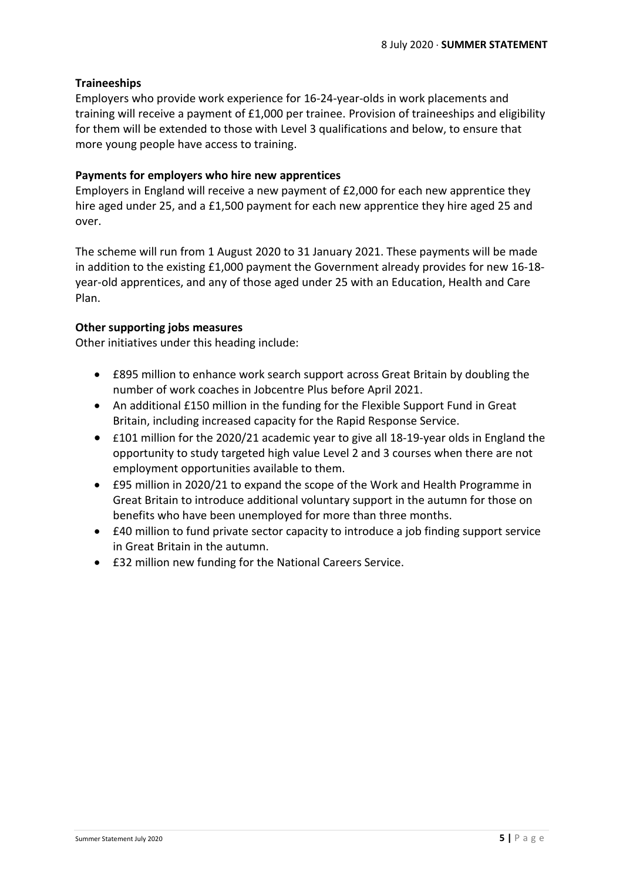## **Traineeships**

Employers who provide work experience for 16-24-year-olds in work placements and training will receive a payment of £1,000 per trainee. Provision of traineeships and eligibility for them will be extended to those with Level 3 qualifications and below, to ensure that more young people have access to training.

## **Payments for employers who hire new apprentices**

Employers in England will receive a new payment of £2,000 for each new apprentice they hire aged under 25, and a £1,500 payment for each new apprentice they hire aged 25 and over.

The scheme will run from 1 August 2020 to 31 January 2021. These payments will be made in addition to the existing £1,000 payment the Government already provides for new 16-18 year-old apprentices, and any of those aged under 25 with an Education, Health and Care Plan.

#### **Other supporting jobs measures**

Other initiatives under this heading include:

- £895 million to enhance work search support across Great Britain by doubling the number of work coaches in Jobcentre Plus before April 2021.
- An additional £150 million in the funding for the Flexible Support Fund in Great Britain, including increased capacity for the Rapid Response Service.
- £101 million for the 2020/21 academic year to give all 18-19-year olds in England the opportunity to study targeted high value Level 2 and 3 courses when there are not employment opportunities available to them.
- £95 million in 2020/21 to expand the scope of the Work and Health Programme in Great Britain to introduce additional voluntary support in the autumn for those on benefits who have been unemployed for more than three months.
- £40 million to fund private sector capacity to introduce a job finding support service in Great Britain in the autumn.
- £32 million new funding for the National Careers Service.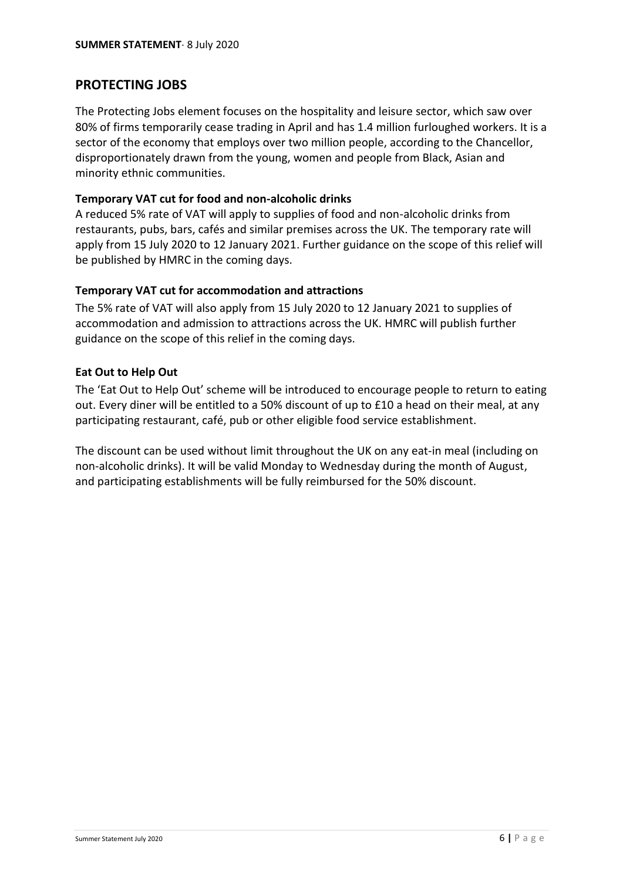# **PROTECTING JOBS**

The Protecting Jobs element focuses on the hospitality and leisure sector, which saw over 80% of firms temporarily cease trading in April and has 1.4 million furloughed workers. It is a sector of the economy that employs over two million people, according to the Chancellor, disproportionately drawn from the young, women and people from Black, Asian and minority ethnic communities.

#### **Temporary VAT cut for food and non-alcoholic drinks**

A reduced 5% rate of VAT will apply to supplies of food and non-alcoholic drinks from restaurants, pubs, bars, cafés and similar premises across the UK. The temporary rate will apply from 15 July 2020 to 12 January 2021. Further guidance on the scope of this relief will be published by HMRC in the coming days.

## **Temporary VAT cut for accommodation and attractions**

The 5% rate of VAT will also apply from 15 July 2020 to 12 January 2021 to supplies of accommodation and admission to attractions across the UK. HMRC will publish further guidance on the scope of this relief in the coming days.

## **Eat Out to Help Out**

The 'Eat Out to Help Out' scheme will be introduced to encourage people to return to eating out. Every diner will be entitled to a 50% discount of up to £10 a head on their meal, at any participating restaurant, café, pub or other eligible food service establishment.

The discount can be used without limit throughout the UK on any eat-in meal (including on non-alcoholic drinks). It will be valid Monday to Wednesday during the month of August, and participating establishments will be fully reimbursed for the 50% discount.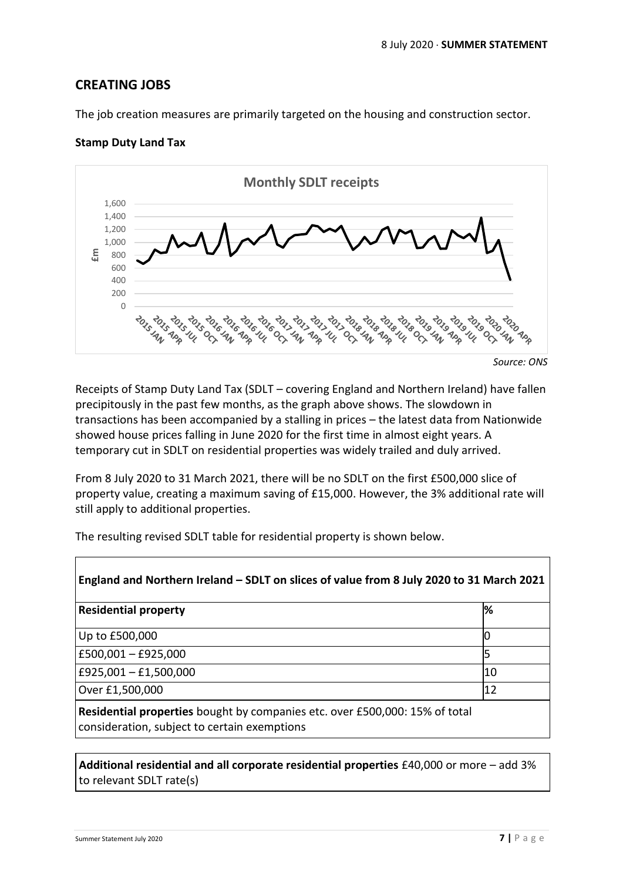# **CREATING JOBS**

The job creation measures are primarily targeted on the housing and construction sector.

#### **Stamp Duty Land Tax**



Receipts of Stamp Duty Land Tax (SDLT – covering England and Northern Ireland) have fallen precipitously in the past few months, as the graph above shows. The slowdown in transactions has been accompanied by a stalling in prices – the latest data from Nationwide showed house prices falling in June 2020 for the first time in almost eight years. A temporary cut in SDLT on residential properties was widely trailed and duly arrived.

From 8 July 2020 to 31 March 2021, there will be no SDLT on the first £500,000 slice of property value, creating a maximum saving of £15,000. However, the 3% additional rate will still apply to additional properties.

The resulting revised SDLT table for residential property is shown below.

| England and Northern Ireland – SDLT on slices of value from 8 July 2020 to 31 March 2021                                    |    |  |
|-----------------------------------------------------------------------------------------------------------------------------|----|--|
| <b>Residential property</b>                                                                                                 | %  |  |
| Up to £500,000                                                                                                              | IO |  |
| £500,001 $-$ £925,000                                                                                                       | 5  |  |
| £925,001 $-$ £1,500,000                                                                                                     | 10 |  |
| Over £1,500,000                                                                                                             | 12 |  |
| Residential properties bought by companies etc. over £500,000: 15% of total<br>consideration, subject to certain exemptions |    |  |

**Additional residential and all corporate residential properties** £40,000 or more – add 3% to relevant SDLT rate(s)

 $\Gamma$